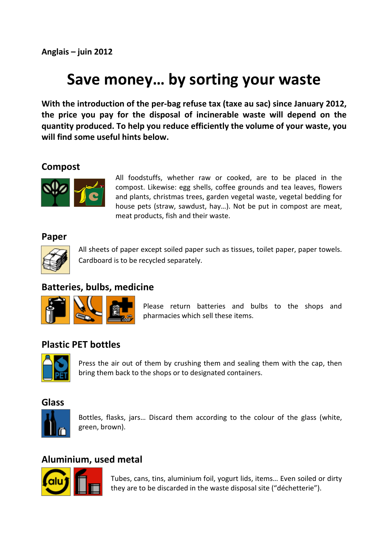# **Save money… by sorting your waste**

**With the introduction of the per-bag refuse tax (taxe au sac) since January 2012, the price you pay for the disposal of incinerable waste will depend on the quantity produced. To help you reduce efficiently the volume of your waste, you will find some useful hints below.** 

#### **Compost**



All foodstuffs, whether raw or cooked, are to be placed in the compost. Likewise: egg shells, coffee grounds and tea leaves, flowers and plants, christmas trees, garden vegetal waste, vegetal bedding for house pets (straw, sawdust, hay…). Not be put in compost are meat, meat products, fish and their waste.

#### **Paper**



All sheets of paper except soiled paper such as tissues, toilet paper, paper towels. Cardboard is to be recycled separately.

# **Batteries, bulbs, medicine**



Please return batteries and bulbs to the shops and pharmacies which sell these items.

#### **Plastic PET bottles**



Press the air out of them by crushing them and sealing them with the cap, then bring them back to the shops or to designated containers.

#### **Glass**



Bottles, flasks, jars… Discard them according to the colour of the glass (white, green, brown).

#### **Aluminium, used metal**



Tubes, cans, tins, aluminium foil, yogurt lids, items… Even soiled or dirty they are to be discarded in the waste disposal site ("déchetterie").